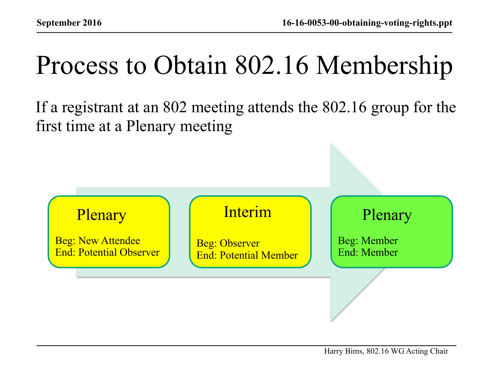## Process to Obtain 802.16 Membership

If a registrant at an 802 meeting attends the 802.16 group for the first time at a Plenary meeting

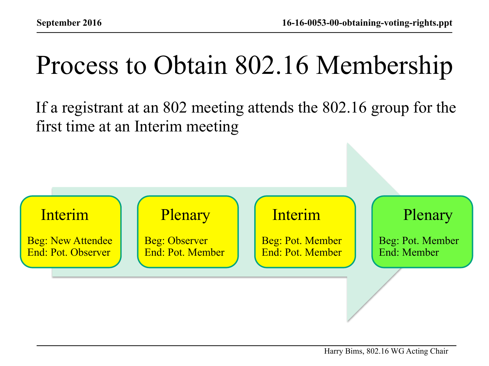## Process to Obtain 802.16 Membership

If a registrant at an 802 meeting attends the 802.16 group for the first time at an Interim meeting